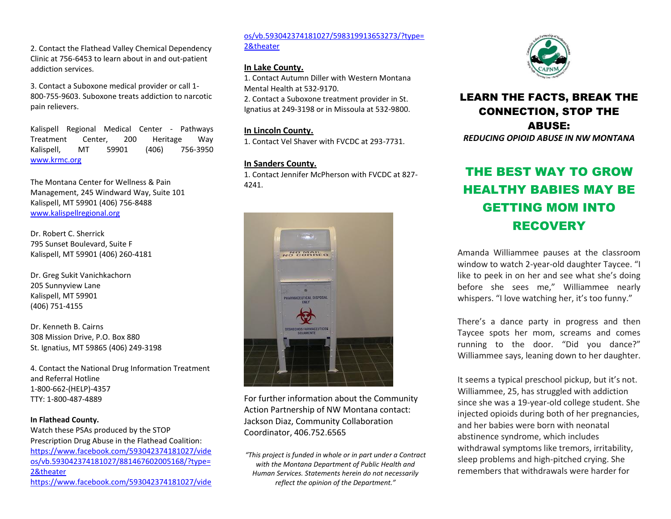2. Contact the Flathead Valley Chemical Dependency Clinic at 756-6453 to learn about in and out-patient addiction services.

3. Contact a Suboxone medical provider or call 1- 800-755-9603. Suboxone treats addiction to narcotic pain relievers.

Kalispell Regional Medical Center - Pathways Treatment Center, 200 Heritage Way Kalispell, MT 59901 (406) 756-3950 [www.krmc.org](http://www.krmc.org/)

The Montana Center for Wellness & Pain Management, 245 Windward Way, Suite 101 Kalispell, MT 59901 (406) 756-8488 [www.kalispellregional.org](http://www.kalispellregional.org/)

Dr. Robert C. Sherrick 795 Sunset Boulevard, Suite F Kalispell, MT 59901 (406) 260-4181

Dr. Greg Sukit Vanichkachorn 205 Sunnyview Lane Kalispell, MT 59901 (406) 751-4155

Dr. Kenneth B. Cairns 308 Mission Drive, P.O. Box 880 St. Ignatius, MT 59865 (406) 249-3198

4. Contact the National Drug Information Treatment and Referral Hotline 1-800-662-(HELP)-4357 TTY: 1-800-487-4889

#### **In Flathead County.** Watch these PSAs produced by the STOP Prescription Drug Abuse in the Flathead Coalition: [https://www.facebook.com/593042374181027/vide](https://www.facebook.com/593042374181027/videos/vb.593042374181027/881467602005168/?type=2&theater) [os/vb.593042374181027/881467602005168/?type=](https://www.facebook.com/593042374181027/videos/vb.593042374181027/881467602005168/?type=2&theater) [2&theater](https://www.facebook.com/593042374181027/videos/vb.593042374181027/881467602005168/?type=2&theater) [https://www.facebook.com/593042374181027/vide](https://www.facebook.com/593042374181027/videos/vb.593042374181027/598319913653273/?type=2&theater)

[os/vb.593042374181027/598319913653273/?type=](https://www.facebook.com/593042374181027/videos/vb.593042374181027/598319913653273/?type=2&theater) [2&theater](https://www.facebook.com/593042374181027/videos/vb.593042374181027/598319913653273/?type=2&theater)

### **In Lake County.**

1. Contact Autumn Diller with Western Montana Mental Health at 532-9170. 2. Contact a Suboxone treatment provider in St. Ignatius at 249-3198 or in Missoula at 532-9800.

#### **In Lincoln County.**

1. Contact Vel Shaver with FVCDC at 293-7731.

#### **In Sanders County.**

1. Contact Jennifer McPherson with FVCDC at 827- 4241.



For further information about the Community Action Partnership of NW Montana contact: Jackson Diaz, Community Collaboration Coordinator, 406.752.6565

*"This project is funded in whole or in part under a Contract with the Montana Department of Public Health and Human Services. Statements herein do not necessarily reflect the opinion of the Department."*



## LEARN THE FACTS, BREAK THE CONNECTION, STOP THE ABUSE:

### *REDUCING OPIOID ABUSE IN NW MONTANA*

# THE BEST WAY TO GROW HEALTHY BABIES MAY BE GETTING MOM INTO RECOVERY

Amanda Williammee pauses at the classroom window to watch 2-year-old daughter Taycee. "I like to peek in on her and see what she's doing before she sees me," Williammee nearly whispers. "I love watching her, it's too funny."

There's a dance party in progress and then Taycee spots her mom, screams and comes running to the door. "Did you dance?" Williammee says, leaning down to her daughter.

It seems a typical preschool pickup, but it's not. Williammee, 25, has struggled with addiction since she was a 19-year-old college student. She injected opioids during both of her pregnancies, and her babies were born with neonatal abstinence syndrome, which includes withdrawal symptoms like tremors, irritability, sleep problems and high-pitched crying. She remembers that withdrawals were harder for